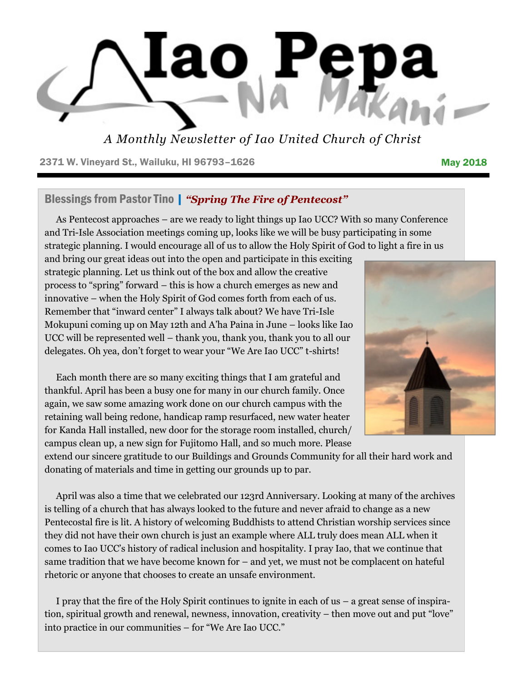

*A Monthly Newsletter of Iao United Church of Christ*

2371 W. Vineyard St., Wailuku, HI 96793-1626 May 2018

### Blessings from Pastor Tino | *"Spring The Fire of Pentecost"*

As Pentecost approaches – are we ready to light things up Iao UCC? With so many Conference and Tri-Isle Association meetings coming up, looks like we will be busy participating in some strategic planning. I would encourage all of us to allow the Holy Spirit of God to light a fire in us

and bring our great ideas out into the open and participate in this exciting strategic planning. Let us think out of the box and allow the creative process to "spring" forward – this is how a church emerges as new and innovative – when the Holy Spirit of God comes forth from each of us. Remember that "inward center" I always talk about? We have Tri-Isle Mokupuni coming up on May 12th and A'ha Paina in June – looks like Iao UCC will be represented well – thank you, thank you, thank you to all our delegates. Oh yea, don't forget to wear your "We Are Iao UCC" t-shirts!

Each month there are so many exciting things that I am grateful and thankful. April has been a busy one for many in our church family. Once again, we saw some amazing work done on our church campus with the retaining wall being redone, handicap ramp resurfaced, new water heater for Kanda Hall installed, new door for the storage room installed, church/ campus clean up, a new sign for Fujitomo Hall, and so much more. Please

extend our sincere gratitude to our Buildings and Grounds Community for all their hard work and donating of materials and time in getting our grounds up to par.

April was also a time that we celebrated our 123rd Anniversary. Looking at many of the archives is telling of a church that has always looked to the future and never afraid to change as a new Pentecostal fire is lit. A history of welcoming Buddhists to attend Christian worship services since they did not have their own church is just an example where ALL truly does mean ALL when it comes to Iao UCC's history of radical inclusion and hospitality. I pray Iao, that we continue that same tradition that we have become known for – and yet, we must not be complacent on hateful rhetoric or anyone that chooses to create an unsafe environment.

I pray that the fire of the Holy Spirit continues to ignite in each of us – a great sense of inspiration, spiritual growth and renewal, newness, innovation, creativity – then move out and put "love" into practice in our communities – for "We Are Iao UCC."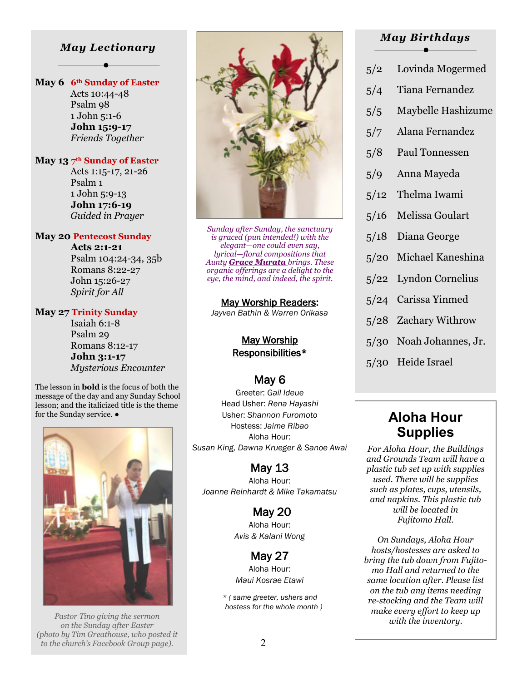#### *May Lectionary*

#### **May 6 6th Sunday of Easter**

 Acts 10:44-48 Psalm 98 1 John 5:1-6  **John 15:9-17** *Friends Together*

#### **May 13 7th Sunday of Easter**

 Acts 1:15-17, 21-26 Psalm 1 1 John 5:9-13  **John 17:6-19** *Guided in Prayer*

#### **May 20 Pentecost Sunday**

 **Acts 2:1-21** Psalm 104:24-34, 35b Romans 8:22-27 John 15:26-27 *Spirit for All*

#### **May 27 Trinity Sunday**

 Isaiah 6:1-8 Psalm 29 Romans 8:12-17  **John 3:1-17** *Mysterious Encounter*

The lesson in **bold** is the focus of both the message of the day and any Sunday School lesson; and the italicized title is the theme



*Pastor Tino giving the sermon on the Sunday after Easter (photo by Tim Greathouse, who posted it to the church's Facebook Group page).*



*Sunday after Sunday, the sanctuary is graced (pun intended!) with the elegant—one could even say, lyrical—floral compositions that Aunty Grace Murata brings. These organic offerings are a delight to the eye, the mind, and indeed, the spirit.* 

#### May Worship Readers:

*Jayven Bathin & Warren Orikasa* 

#### May Worship Responsibilities\*

# May 6

for the Sunday service.  $\bullet$  **Aloha Hour** Greeter: *Gail Ideue* Head Usher: *Rena Hayashi* Usher: *Shannon Furomoto* Hostess: *Jaime Ribao* Aloha Hour: *Susan King, Dawna Krueger & Sanoe Awai* 

### May 13

Aloha Hour: *Joanne Reinhardt & Mike Takamatsu* 

> May 20 Aloha Hour: *Avis & Kalani Wong*

May 27 Aloha Hour: *Maui Kosrae Etawi* 

*\* ( same greeter, ushers and hostess for the whole month )* 

#### *May Birthdays*

- 5/2 Lovinda Mogermed
- 5/4 Tiana Fernandez
- 5/5 Maybelle Hashizume
- 5/7 Alana Fernandez
- 5/8 Paul Tonnessen
- 5/9 Anna Mayeda
- 5/12 Thelma Iwami
- 5/16 Melissa Goulart
- 5/18 Diana George
- 5/20 Michael Kaneshina
- 5/22 Lyndon Cornelius
- 5/24 Carissa Yinmed
- 5/28 Zachary Withrow
- 5/30 Noah Johannes, Jr.
- 5/30 Heide Israel

# **Supplies**

*For Aloha Hour, the Buildings and Grounds Team will have a plastic tub set up with supplies used. There will be supplies such as plates, cups, utensils, and napkins. This plastic tub will be located in Fujitomo Hall.* 

*On Sundays, Aloha Hour hosts/hostesses are asked to bring the tub down from Fujitomo Hall and returned to the same location after. Please list on the tub any items needing re-stocking and the Team will make every effort to keep up with the inventory.*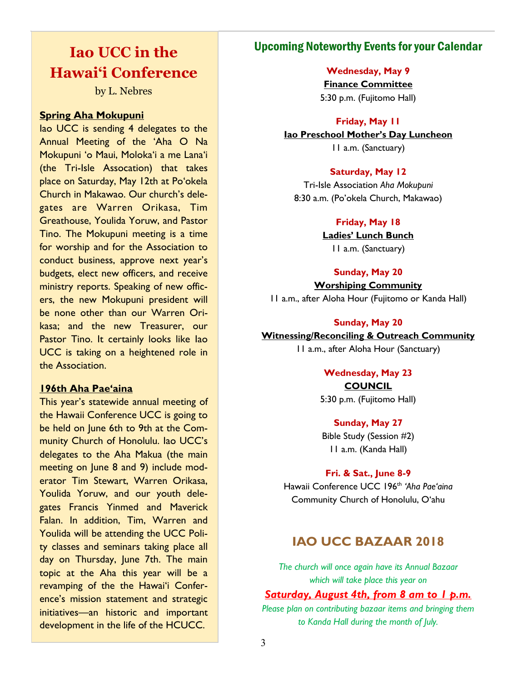# **Iao UCC in the Hawai'i Conference**

by L. Nebres

#### **Spring Aha Mokupuni**

Iao UCC is sending 4 delegates to the Annual Meeting of the 'Aha O Na Mokupuni 'o Maui, Moloka'i a me Lana'i (the Tri-Isle Assocation) that takes place on Saturday, May 12th at Po'okela Church in Makawao. Our church's delegates are Warren Orikasa, Tim Greathouse, Youlida Yoruw, and Pastor Tino. The Mokupuni meeting is a time for worship and for the Association to conduct business, approve next year's budgets, elect new officers, and receive ministry reports. Speaking of new officers, the new Mokupuni president will be none other than our Warren Orikasa; and the new Treasurer, our Pastor Tino. It certainly looks like Iao UCC is taking on a heightened role in the Association.

#### **196th Aha Pae'aina**

This year's statewide annual meeting of the Hawaii Conference UCC is going to be held on June 6th to 9th at the Community Church of Honolulu. Iao UCC's delegates to the Aha Makua (the main meeting on June 8 and 9) include moderator Tim Stewart, Warren Orikasa, Youlida Yoruw, and our youth delegates Francis Yinmed and Maverick Falan. In addition, Tim, Warren and Youlida will be attending the UCC Polity classes and seminars taking place all day on Thursday, June 7th. The main topic at the Aha this year will be a revamping of the the Hawai'i Conference's mission statement and strategic initiatives—an historic and important development in the life of the HCUCC.

## Upcoming Noteworthy Events for your Calendar

#### **Wednesday, May 9**

**Finance Committee** 5:30 p.m. (Fujitomo Hall)

#### **Friday, May 11**

**Iao Preschool Mother's Day Luncheon**

11 a.m. (Sanctuary)

#### **Saturday, May 12**

Tri-Isle Association *Aha Mokupuni* 8:30 a.m. (Po'okela Church, Makawao)

#### **Friday, May 18**

**Ladies' Lunch Bunch** 11 a.m. (Sanctuary)

#### **Sunday, May 20**

**Worshiping Community** 11 a.m., after Aloha Hour (Fujitomo or Kanda Hall)

#### **Sunday, May 20**

#### **Witnessing/Reconciling & Outreach Community**

11 a.m., after Aloha Hour (Sanctuary)

#### **Wednesday, May 23 COUNCIL**

5:30 p.m. (Fujitomo Hall)

#### **Sunday, May 27**

Bible Study (Session #2) 11 a.m. (Kanda Hall)

#### **Fri. & Sat., June 8-9**

Hawaii Conference UCC 196th *'Aha Pae'aina* Community Church of Honolulu, O'ahu

# **IAO UCC BAZAAR 2018**

*The church will once again have its Annual Bazaar which will take place this year on* 

#### *Saturday, August 4th, from 8 am to 1 p.m.*

*Please plan on contributing bazaar items and bringing them to Kanda Hall during the month of July.*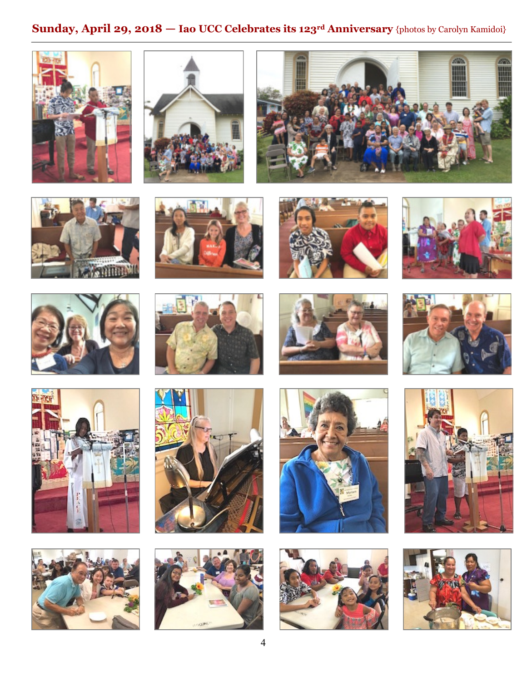# **Sunday, April 29, 2018 — Iao UCC Celebrates its 123rd Anniversary** {photos by Carolyn Kamidoi}



































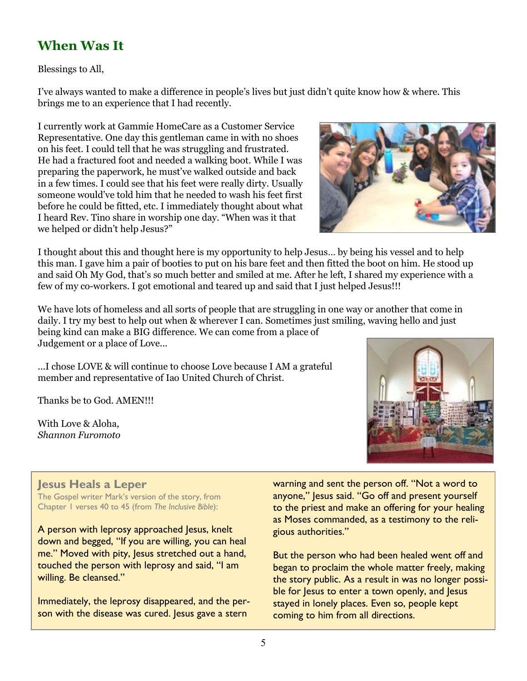# **When Was It**

Blessings to All,

I've always wanted to make a difference in people's lives but just didn't quite know how & where. This brings me to an experience that I had recently.

I currently work at Gammie HomeCare as a Customer Service Representative. One day this gentleman came in with no shoes on his feet. I could tell that he was struggling and frustrated. He had a fractured foot and needed a walking boot. While I was preparing the paperwork, he must've walked outside and back in a few times. I could see that his feet were really dirty. Usually someone would've told him that he needed to wash his feet first before he could be fitted, etc. I immediately thought about what I heard Rev. Tino share in worship one day. "When was it that we helped or didn't help Jesus?"



I thought about this and thought here is my opportunity to help Jesus… by being his vessel and to help this man. I gave him a pair of booties to put on his bare feet and then fitted the boot on him. He stood up and said Oh My God, that's so much better and smiled at me. After he left, I shared my experience with a few of my co-workers. I got emotional and teared up and said that I just helped Jesus!!!

We have lots of homeless and all sorts of people that are struggling in one way or another that come in daily. I try my best to help out when & wherever I can. Sometimes just smiling, waving hello and just being kind can make a BIG difference. We can come from a place of Judgement or a place of Love...

...I chose LOVE & will continue to choose Love because I AM a grateful member and representative of Iao United Church of Christ.

Thanks be to God. AMEN!!!

With Love & Aloha, *Shannon Furomoto*



### **Jesus Heals a Leper**

The Gospel writer Mark's version of the story, from Chapter 1 verses 40 to 45 (from *The Inclusive Bible*):

A person with leprosy approached Jesus, knelt down and begged, "If you are willing, you can heal me." Moved with pity, Jesus stretched out a hand, touched the person with leprosy and said, "I am willing. Be cleansed."

Immediately, the leprosy disappeared, and the person with the disease was cured. Jesus gave a stern

warning and sent the person off. "Not a word to anyone," Jesus said. "Go off and present yourself to the priest and make an offering for your healing as Moses commanded, as a testimony to the religious authorities."

But the person who had been healed went off and began to proclaim the whole matter freely, making the story public. As a result in was no longer possible for lesus to enter a town openly, and lesus stayed in lonely places. Even so, people kept coming to him from all directions.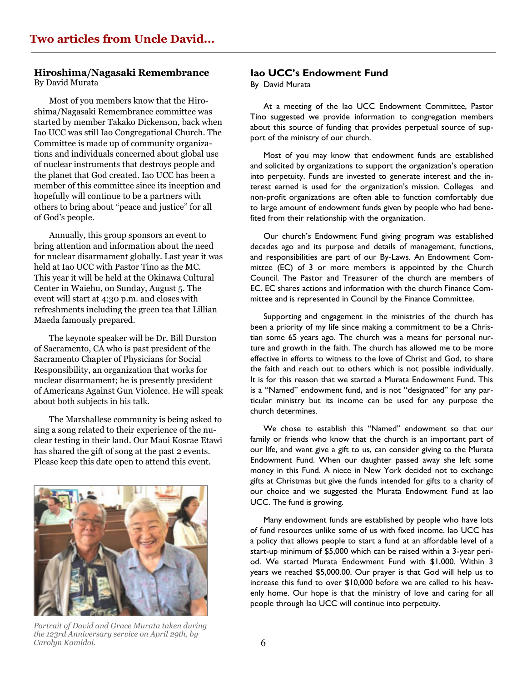## **Hiroshima/Nagasaki Remembrance**

By David Murata

Most of you members know that the Hiroshima/Nagasaki Remembrance committee was started by member Takako Dickenson, back when Iao UCC was still Iao Congregational Church. The Committee is made up of community organizations and individuals concerned about global use of nuclear instruments that destroys people and the planet that God created. Iao UCC has been a member of this committee since its inception and hopefully will continue to be a partners with others to bring about "peace and justice" for all of God's people.

Annually, this group sponsors an event to bring attention and information about the need for nuclear disarmament globally. Last year it was held at Iao UCC with Pastor Tino as the MC. This year it will be held at the Okinawa Cultural Center in Waiehu, on Sunday, August 5. The event will start at 4:30 p.m. and closes with refreshments including the green tea that Lillian Maeda famously prepared.

The keynote speaker will be Dr. Bill Durston of Sacramento, CA who is past president of the Sacramento Chapter of Physicians for Social Responsibility, an organization that works for nuclear disarmament; he is presently president of Americans Against Gun Violence. He will speak about both subjects in his talk.

The Marshallese community is being asked to sing a song related to their experience of the nuclear testing in their land. Our Maui Kosrae Etawi has shared the gift of song at the past 2 events. Please keep this date open to attend this event.



*Portrait of David and Grace Murata taken during the 123rd Anniversary service on April 29th, by Carolyn Kamidoi.*

#### **Iao UCC's Endowment Fund**

By David Murata

 At a meeting of the Iao UCC Endowment Committee, Pastor Tino suggested we provide information to congregation members about this source of funding that provides perpetual source of support of the ministry of our church.

 Most of you may know that endowment funds are established and solicited by organizations to support the organization's operation into perpetuity. Funds are invested to generate interest and the interest earned is used for the organization's mission. Colleges and non-profit organizations are often able to function comfortably due to large amount of endowment funds given by people who had benefited from their relationship with the organization.

Our church's Endowment Fund giving program was established decades ago and its purpose and details of management, functions, and responsibilities are part of our By-Laws. An Endowment Committee (EC) of 3 or more members is appointed by the Church Council. The Pastor and Treasurer of the church are members of EC. EC shares actions and information with the church Finance Committee and is represented in Council by the Finance Committee.

 Supporting and engagement in the ministries of the church has been a priority of my life since making a commitment to be a Christian some 65 years ago. The church was a means for personal nurture and growth in the faith. The church has allowed me to be more effective in efforts to witness to the love of Christ and God, to share the faith and reach out to others which is not possible individually. It is for this reason that we started a Murata Endowment Fund. This is a "Named" endowment fund, and is not "designated" for any particular ministry but its income can be used for any purpose the church determines.

We chose to establish this "Named" endowment so that our family or friends who know that the church is an important part of our life, and want give a gift to us, can consider giving to the Murata Endowment Fund. When our daughter passed away she left some money in this Fund. A niece in New York decided not to exchange gifts at Christmas but give the funds intended for gifts to a charity of our choice and we suggested the Murata Endowment Fund at Iao UCC. The fund is growing.

 Many endowment funds are established by people who have lots of fund resources unlike some of us with fixed income. Iao UCC has a policy that allows people to start a fund at an affordable level of a start-up minimum of \$5,000 which can be raised within a 3-year period. We started Murata Endowment Fund with \$1,000. Within 3 years we reached \$5,000.00. Our prayer is that God will help us to increase this fund to over \$10,000 before we are called to his heavenly home. Our hope is that the ministry of love and caring for all people through Iao UCC will continue into perpetuity.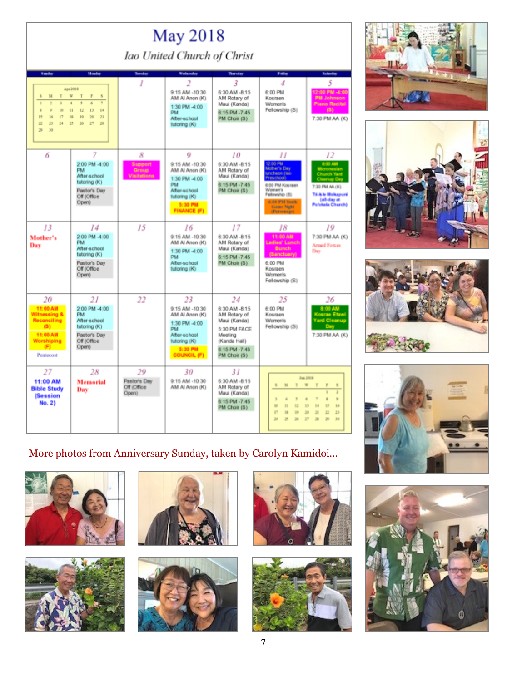| May 2018                                                                                                  |                                                                                                                                                                                       |                                             |                                                                                                                                      |                                                                                                                                 |                                                                                                                                                                      |                                                                                                                                                       |  |  |
|-----------------------------------------------------------------------------------------------------------|---------------------------------------------------------------------------------------------------------------------------------------------------------------------------------------|---------------------------------------------|--------------------------------------------------------------------------------------------------------------------------------------|---------------------------------------------------------------------------------------------------------------------------------|----------------------------------------------------------------------------------------------------------------------------------------------------------------------|-------------------------------------------------------------------------------------------------------------------------------------------------------|--|--|
| Iao United Church of Christ                                                                               |                                                                                                                                                                                       |                                             |                                                                                                                                      |                                                                                                                                 |                                                                                                                                                                      |                                                                                                                                                       |  |  |
| Sunday                                                                                                    | Monday                                                                                                                                                                                | <b>Turnday</b>                              | Wednesday                                                                                                                            | <b>Thersday</b>                                                                                                                 | Friday                                                                                                                                                               | <b>Salendary</b>                                                                                                                                      |  |  |
| ÷<br>×<br>M<br>٠<br>÷<br>s<br>s.<br>g.<br>16<br>15<br>ET<br>16<br>$\mathbb{Z}^2$<br>25<br>24<br>э<br>30   | Apr 2018<br>$\overline{u}$<br>T<br>$\mathbf{r}$<br>$\overline{\mathbf{s}}$<br>٠<br>a<br>di<br>$\mathbb{H}$<br>13<br>12<br>14<br>$\mathbf{H}$<br>Đ<br>39<br>21<br>27<br>25<br>36<br>26 | I                                           | 2<br>9:15 AM -10:30<br>(X) nonA IA MA<br>1:30 PM -4:00<br>PM<br>Atter-school<br>tutoring (K)                                         | 3<br>6:30 AM -8:15<br>AM Rotary of<br>Maui (Kanda)<br>6.15 PM -7:45<br>PM Choir (S)                                             | 4<br>6:00 PM<br>Kosraen<br>Women's<br>Fellowship (S)                                                                                                                 | 5<br>12:00 PM -4:00<br><b>PM Johnson</b><br><b>Plano Recital</b><br>(5)<br>7:30 PM AA (K)                                                             |  |  |
| 6                                                                                                         | 7<br>2:00 PM -4:00<br>PM<br>After-school<br>tutoring (K)<br>Pastor's Day<br>Off (Office)<br>Open)                                                                                     | 8<br>Support<br>Group<br><b>Visitations</b> | 9<br>9:15 AM -10:30<br>(X) nonA IA MA<br>1:30 PM -4:00<br><b>PM</b><br>After-school<br>tutoring (K)<br>5:30 PM<br><b>FINANCE (F)</b> | 10<br>6:30 AM -8:15<br>AM Rotary of<br>Maui (Kanda)<br>6:15 PM -7:45<br>PM Choir (S)                                            | Н<br>2:00 PM<br><b>Adher's Day</b><br>uncheon (lao)<br>(Toorline)<br>6:00 PM Kosraen<br>Women's<br>Felowship (5)<br>6-66 PM York<br><b>Came Night</b><br>(Parsonage) | 12<br>8:00 AM<br>Micronesian<br>Chusch Yard<br><b>Cleanup Day</b><br>7:30 PM AA (K)<br><b>Tri-Isle Motupuri</b><br>(all-day at<br>Po'okela Church)    |  |  |
| 13<br>Mother's<br>Day                                                                                     | 14<br>2:00 PM -4:00<br>PM<br>After-achool<br>(X) prirotut<br>Pastor's Day<br>Off (Office)<br>Open)                                                                                    | 15                                          | 16<br>9:15 AM -10:30<br>AM AI Anon (K)<br>1:30 PM -4:00<br><b>PM</b><br>After-school<br>tutoring (K)                                 | 17<br>6:30 AM -8:15<br>AM Rotary of<br>Maui (Kanda)<br>6:15 PM -7:45<br>PM Choir (S)                                            | 18<br>11:00 AM<br>Ladies' Lunch<br>Bunch<br>(Sanctuary)<br>6:00 PM<br>Kosraen<br><b>Women's</b><br>Fellowship (S)                                                    | 19<br>7:30 PM AA (K)<br>Armed Forces<br>Day                                                                                                           |  |  |
| 20<br>11:00 AM<br>Witnessing &<br><b>Reconciling</b><br>(5)<br>11:00 AM<br>Worshiping<br>(F)<br>Pentecost | 21<br>2:00 PM -4:00<br>PM<br>After-school<br><b>DO prirodut</b><br>Pastor's Day<br>Off (Office)<br>Open)                                                                              | 22                                          | 23<br>9:15 AM -10:30<br>(X) nonA IA MA<br>1:30 PM -4:00<br>PM<br>After-school<br>tutoring (K)<br>5:30 PM<br><b>COUNCIL (F)</b>       | 24<br>6:30 AM -8:15<br>AM Rotary of<br>Maui (Kanda)<br>5:30 PM FACE<br>Meeting<br>(Kanda Hall)<br>6:15 PM -7:45<br>PM Choir (S) | 25<br>6:00 PM<br>Kossaen<br><b>Women's</b><br>Fellowship (S)                                                                                                         | 26<br>8:00 AM<br>Kosrae Etawi<br><b>Yard Cleanup</b><br>Day.<br>7:30 PM AA (K)                                                                        |  |  |
| 27<br>11:00 AM<br><b>Bible Study</b><br>(Session<br>No. 2)                                                | 28<br><b>Memorial</b><br>Day                                                                                                                                                          | 29<br>Pastor's Day<br>Off (Office)<br>Open) | 30<br>9:15 AM -10:30<br>(X) nonA IA MA                                                                                               | 31<br>6:30 AM -8:15<br>AM Rotary of<br>Maui (Kanda)<br>6:15 PM -7:45<br>PM Chair (S)                                            | s<br>M<br>T<br>×<br>3<br>z<br><b>q</b><br><b>SO</b><br>m<br>EZ<br><b>IT</b><br>1H<br>19<br>34<br>36<br>29                                                            | Fax 2008<br>T<br>F<br>s<br>ż<br>g.<br>×<br>ø.<br>16<br>13<br>14<br>B<br>25<br>29<br>21<br>22<br>$\overline{\mathbf{a}}$<br>$\mathbb{R}^2$<br>30<br>37 |  |  |







# More photos from Anniversary Sunday, taken by Carolyn Kamidoi...